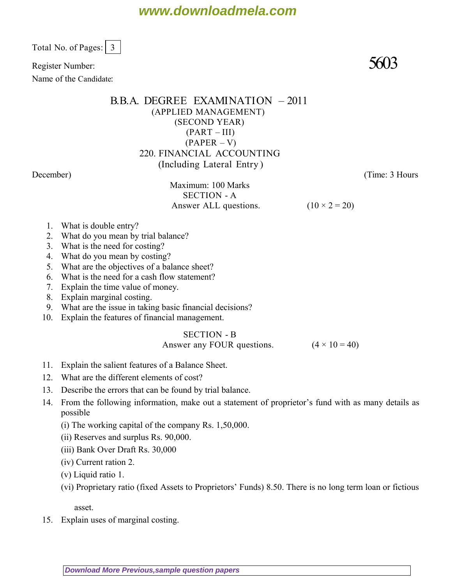Total No. of Pages:  $\vert 3 \vert$ 

Register Number:  $5603$ 

Name of the Candidate:

## B.B.A. DEGREE EXAMINATION – 2011 (APPLIED MANAGEMENT) (SECOND YEAR)  $(PART - III)$  $(PAPER - V)$ 220. FINANCIAL ACCOUNTING (Including Lateral Entry ) *December*) (*Time: 3 Hours*

Maximum: 100 Marks SECTION - A Answer ALL questions. ( $10 \times 2 = 20$ )

- 1. What is double entry?
- 2. What do you mean by trial balance?
- 3. What is the need for costing?
- 4. What do you mean by costing?
- 5. What are the objectives of a balance sheet?
- 6. What is the need for a cash flow statement?
- 7. Explain the time value of money.
- 8. Explain marginal costing.
- 9. What are the issue in taking basic financial decisions?
- 10. Explain the features of financial management.

### SECTION - B

### Answer any FOUR questions.  $(4 \times 10 = 40)$

- 11. Explain the salient features of a Balance Sheet.
- 12. What are the different elements of cost?
- 13. Describe the errors that can be found by trial balance.
- 14. From the following information, make out a statement of proprietor's fund with as many details as possible
	- (i) The working capital of the company Rs. 1,50,000.
	- (ii) Reserves and surplus Rs. 90,000.
	- (iii) Bank Over Draft Rs. 30,000
	- (iv) Current ration 2.
	- (v) Liquid ratio 1.
	- (vi) Proprietary ratio (fixed Assets to Proprietors' Funds) 8.50. There is no long term loan or fictious

asset.

15. Explain uses of marginal costing.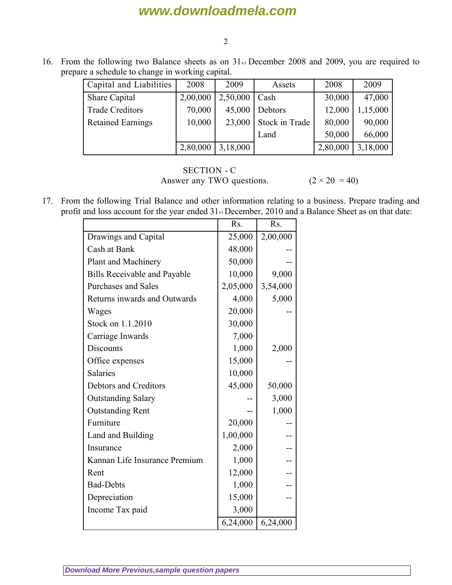# **www.downloadmela.com**

#### 2

16. From the following two Balance sheets as on  $31<sub>st</sub>$  December 2008 and 2009, you are required to prepare a schedule to change in working capital.

| Capital and Liabilities  | 2008     | 2009     | Assets         | 2008     | 2009     |
|--------------------------|----------|----------|----------------|----------|----------|
| Share Capital            | 2,00,000 | 2,50,000 | Cash           | 30,000   | 47,000   |
| <b>Trade Creditors</b>   | 70,000   | 45,000   | Debtors        | 12,000   | 1,15,000 |
| <b>Retained Earnings</b> | 10,000   | 23,000   | Stock in Trade | 80,000   | 90,000   |
|                          |          |          | Land           | 50,000   | 66,000   |
|                          | 2,80,000 | 3,18,000 |                | 2,80,000 | 3,18,000 |

### SECTION - C Answer any TWO questions.  $(2 \times 20 = 40)$

17. From the following Trial Balance and other information relating to a business. Prepare trading and profit and loss account for the year ended  $31<sub>st</sub>$  December, 2010 and a Balance Sheet as on that date:

|                                     | Rs.      | Rs.      |
|-------------------------------------|----------|----------|
| Drawings and Capital                | 25,000   | 2,00,000 |
| Cash at Bank                        | 48,000   |          |
| Plant and Machinery                 | 50,000   |          |
| <b>Bills Receivable and Payable</b> | 10,000   | 9,000    |
| <b>Purchases and Sales</b>          | 2,05,000 | 3,54,000 |
| Returns inwards and Outwards        | 4,000    | 5,000    |
| Wages                               | 20,000   |          |
| Stock on 1.1.2010                   | 30,000   |          |
| Carriage Inwards                    | 7,000    |          |
| <b>Discounts</b>                    | 1,000    | 2,000    |
| Office expenses                     | 15,000   |          |
| <b>Salaries</b>                     | 10,000   |          |
| Debtors and Creditors               | 45,000   | 50,000   |
| <b>Outstanding Salary</b>           |          | 3,000    |
| <b>Outstanding Rent</b>             |          | 1,000    |
| Furniture                           | 20,000   |          |
| Land and Building                   | 1,00,000 | --       |
| Insurance                           | 2,000    |          |
| Kannan Life Insurance Premium       | 1,000    |          |
| Rent                                | 12,000   |          |
| <b>Bad-Debts</b>                    | 1,000    |          |
| Depreciation                        | 15,000   |          |
| Income Tax paid                     | 3,000    |          |
|                                     | 6,24,000 | 6,24,000 |